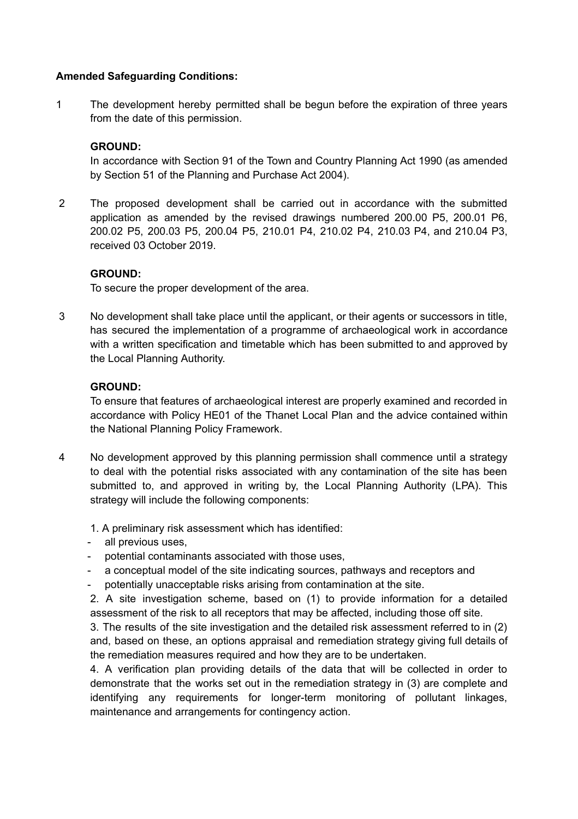## **Amended Safeguarding Conditions:**

1 The development hereby permitted shall be begun before the expiration of three years from the date of this permission.

# **GROUND:**

In accordance with Section 91 of the Town and Country Planning Act 1990 (as amended by Section 51 of the Planning and Purchase Act 2004).

2 The proposed development shall be carried out in accordance with the submitted application as amended by the revised drawings numbered 200.00 P5, 200.01 P6, 200.02 P5, 200.03 P5, 200.04 P5, 210.01 P4, 210.02 P4, 210.03 P4, and 210.04 P3, received 03 October 2019.

## **GROUND:**

To secure the proper development of the area.

3 No development shall take place until the applicant, or their agents or successors in title, has secured the implementation of a programme of archaeological work in accordance with a written specification and timetable which has been submitted to and approved by the Local Planning Authority.

## **GROUND:**

To ensure that features of archaeological interest are properly examined and recorded in accordance with Policy HE01 of the Thanet Local Plan and the advice contained within the National Planning Policy Framework.

- 4 No development approved by this planning permission shall commence until a strategy to deal with the potential risks associated with any contamination of the site has been submitted to, and approved in writing by, the Local Planning Authority (LPA). This strategy will include the following components:
	- 1. A preliminary risk assessment which has identified:
	- all previous uses,
	- potential contaminants associated with those uses,
	- a conceptual model of the site indicating sources, pathways and receptors and
	- potentially unacceptable risks arising from contamination at the site.

2. A site investigation scheme, based on (1) to provide information for a detailed assessment of the risk to all receptors that may be affected, including those off site.

3. The results of the site investigation and the detailed risk assessment referred to in (2) and, based on these, an options appraisal and remediation strategy giving full details of the remediation measures required and how they are to be undertaken.

4. A verification plan providing details of the data that will be collected in order to demonstrate that the works set out in the remediation strategy in (3) are complete and identifying any requirements for longer-term monitoring of pollutant linkages, maintenance and arrangements for contingency action.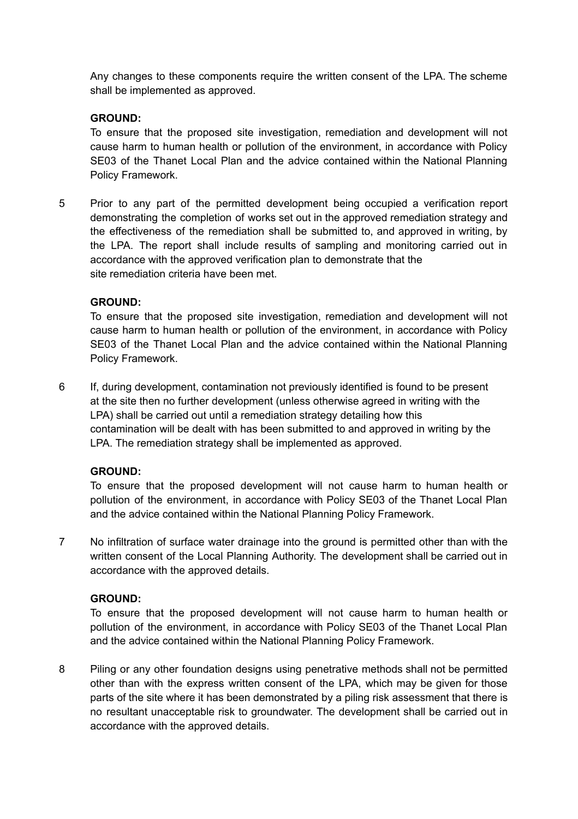Any changes to these components require the written consent of the LPA. The scheme shall be implemented as approved.

## **GROUND:**

To ensure that the proposed site investigation, remediation and development will not cause harm to human health or pollution of the environment, in accordance with Policy SE03 of the Thanet Local Plan and the advice contained within the National Planning Policy Framework.

5 Prior to any part of the permitted development being occupied a verification report demonstrating the completion of works set out in the approved remediation strategy and the effectiveness of the remediation shall be submitted to, and approved in writing, by the LPA. The report shall include results of sampling and monitoring carried out in accordance with the approved verification plan to demonstrate that the site remediation criteria have been met.

## **GROUND:**

To ensure that the proposed site investigation, remediation and development will not cause harm to human health or pollution of the environment, in accordance with Policy SE03 of the Thanet Local Plan and the advice contained within the National Planning Policy Framework.

6 If, during development, contamination not previously identified is found to be present at the site then no further development (unless otherwise agreed in writing with the LPA) shall be carried out until a remediation strategy detailing how this contamination will be dealt with has been submitted to and approved in writing by the LPA. The remediation strategy shall be implemented as approved.

## **GROUND:**

To ensure that the proposed development will not cause harm to human health or pollution of the environment, in accordance with Policy SE03 of the Thanet Local Plan and the advice contained within the National Planning Policy Framework.

7 No infiltration of surface water drainage into the ground is permitted other than with the written consent of the Local Planning Authority. The development shall be carried out in accordance with the approved details.

## **GROUND:**

To ensure that the proposed development will not cause harm to human health or pollution of the environment, in accordance with Policy SE03 of the Thanet Local Plan and the advice contained within the National Planning Policy Framework.

8 Piling or any other foundation designs using penetrative methods shall not be permitted other than with the express written consent of the LPA, which may be given for those parts of the site where it has been demonstrated by a piling risk assessment that there is no resultant unacceptable risk to groundwater. The development shall be carried out in accordance with the approved details.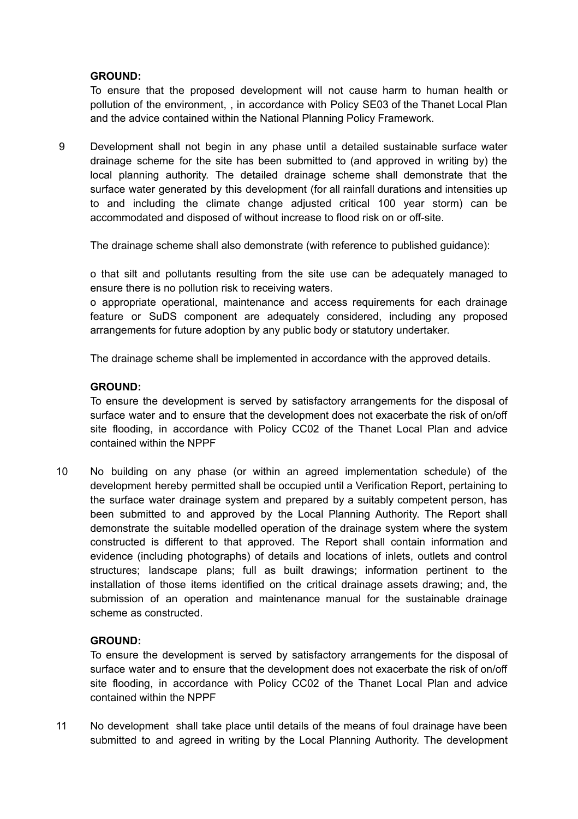## **GROUND:**

To ensure that the proposed development will not cause harm to human health or pollution of the environment, , in accordance with Policy SE03 of the Thanet Local Plan and the advice contained within the National Planning Policy Framework.

9 Development shall not begin in any phase until a detailed sustainable surface water drainage scheme for the site has been submitted to (and approved in writing by) the local planning authority. The detailed drainage scheme shall demonstrate that the surface water generated by this development (for all rainfall durations and intensities up to and including the climate change adjusted critical 100 year storm) can be accommodated and disposed of without increase to flood risk on or off-site.

The drainage scheme shall also demonstrate (with reference to published guidance):

o that silt and pollutants resulting from the site use can be adequately managed to ensure there is no pollution risk to receiving waters.

o appropriate operational, maintenance and access requirements for each drainage feature or SuDS component are adequately considered, including any proposed arrangements for future adoption by any public body or statutory undertaker.

The drainage scheme shall be implemented in accordance with the approved details.

## **GROUND:**

To ensure the development is served by satisfactory arrangements for the disposal of surface water and to ensure that the development does not exacerbate the risk of on/off site flooding, in accordance with Policy CC02 of the Thanet Local Plan and advice contained within the NPPF

10 No building on any phase (or within an agreed implementation schedule) of the development hereby permitted shall be occupied until a Verification Report, pertaining to the surface water drainage system and prepared by a suitably competent person, has been submitted to and approved by the Local Planning Authority. The Report shall demonstrate the suitable modelled operation of the drainage system where the system constructed is different to that approved. The Report shall contain information and evidence (including photographs) of details and locations of inlets, outlets and control structures; landscape plans; full as built drawings; information pertinent to the installation of those items identified on the critical drainage assets drawing; and, the submission of an operation and maintenance manual for the sustainable drainage scheme as constructed.

# **GROUND:**

To ensure the development is served by satisfactory arrangements for the disposal of surface water and to ensure that the development does not exacerbate the risk of on/off site flooding, in accordance with Policy CC02 of the Thanet Local Plan and advice contained within the NPPF

11 No development shall take place until details of the means of foul drainage have been submitted to and agreed in writing by the Local Planning Authority. The development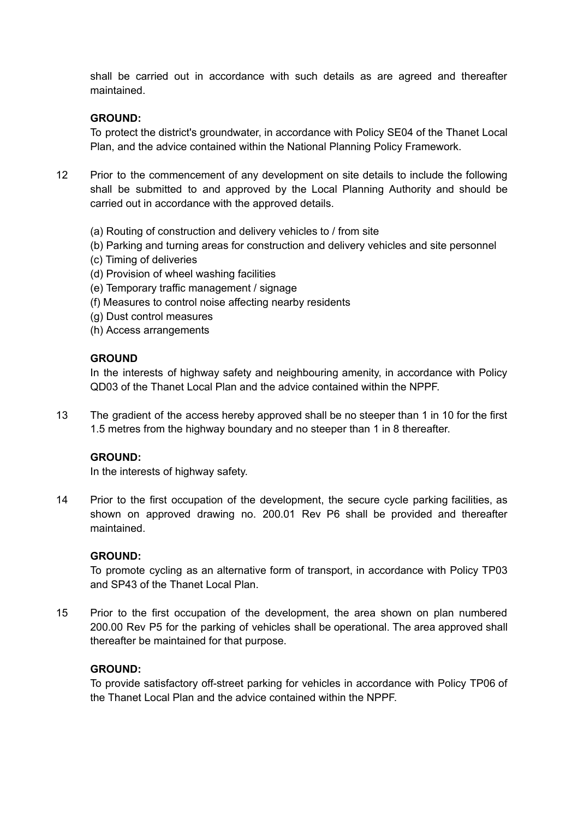shall be carried out in accordance with such details as are agreed and thereafter maintained.

# **GROUND:**

To protect the district's groundwater, in accordance with Policy SE04 of the Thanet Local Plan, and the advice contained within the National Planning Policy Framework.

- 12 Prior to the commencement of any development on site details to include the following shall be submitted to and approved by the Local Planning Authority and should be carried out in accordance with the approved details.
	- (a) Routing of construction and delivery vehicles to / from site
	- (b) Parking and turning areas for construction and delivery vehicles and site personnel
	- (c) Timing of deliveries
	- (d) Provision of wheel washing facilities
	- (e) Temporary traffic management / signage
	- (f) Measures to control noise affecting nearby residents
	- (g) Dust control measures
	- (h) Access arrangements

## **GROUND**

In the interests of highway safety and neighbouring amenity, in accordance with Policy QD03 of the Thanet Local Plan and the advice contained within the NPPF.

13 The gradient of the access hereby approved shall be no steeper than 1 in 10 for the first 1.5 metres from the highway boundary and no steeper than 1 in 8 thereafter.

#### **GROUND:**

In the interests of highway safety.

14 Prior to the first occupation of the development, the secure cycle parking facilities, as shown on approved drawing no. 200.01 Rev P6 shall be provided and thereafter maintained.

#### **GROUND:**

To promote cycling as an alternative form of transport, in accordance with Policy TP03 and SP43 of the Thanet Local Plan.

15 Prior to the first occupation of the development, the area shown on plan numbered 200.00 Rev P5 for the parking of vehicles shall be operational. The area approved shall thereafter be maintained for that purpose.

#### **GROUND:**

To provide satisfactory off-street parking for vehicles in accordance with Policy TP06 of the Thanet Local Plan and the advice contained within the NPPF.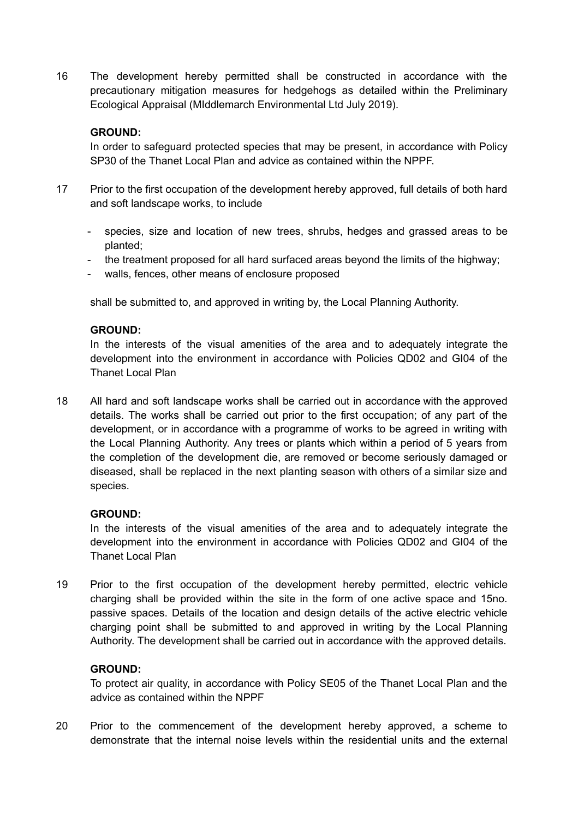16 The development hereby permitted shall be constructed in accordance with the precautionary mitigation measures for hedgehogs as detailed within the Preliminary Ecological Appraisal (MIddlemarch Environmental Ltd July 2019).

## **GROUND:**

In order to safeguard protected species that may be present, in accordance with Policy SP30 of the Thanet Local Plan and advice as contained within the NPPF.

- 17 Prior to the first occupation of the development hereby approved, full details of both hard and soft landscape works, to include
	- species, size and location of new trees, shrubs, hedges and grassed areas to be planted;
	- the treatment proposed for all hard surfaced areas beyond the limits of the highway;
	- walls, fences, other means of enclosure proposed

shall be submitted to, and approved in writing by, the Local Planning Authority.

## **GROUND:**

In the interests of the visual amenities of the area and to adequately integrate the development into the environment in accordance with Policies QD02 and GI04 of the Thanet Local Plan

18 All hard and soft landscape works shall be carried out in accordance with the approved details. The works shall be carried out prior to the first occupation; of any part of the development, or in accordance with a programme of works to be agreed in writing with the Local Planning Authority. Any trees or plants which within a period of 5 years from the completion of the development die, are removed or become seriously damaged or diseased, shall be replaced in the next planting season with others of a similar size and species.

## **GROUND:**

In the interests of the visual amenities of the area and to adequately integrate the development into the environment in accordance with Policies QD02 and GI04 of the Thanet Local Plan

19 Prior to the first occupation of the development hereby permitted, electric vehicle charging shall be provided within the site in the form of one active space and 15no. passive spaces. Details of the location and design details of the active electric vehicle charging point shall be submitted to and approved in writing by the Local Planning Authority. The development shall be carried out in accordance with the approved details.

## **GROUND:**

To protect air quality, in accordance with Policy SE05 of the Thanet Local Plan and the advice as contained within the NPPF

20 Prior to the commencement of the development hereby approved, a scheme to demonstrate that the internal noise levels within the residential units and the external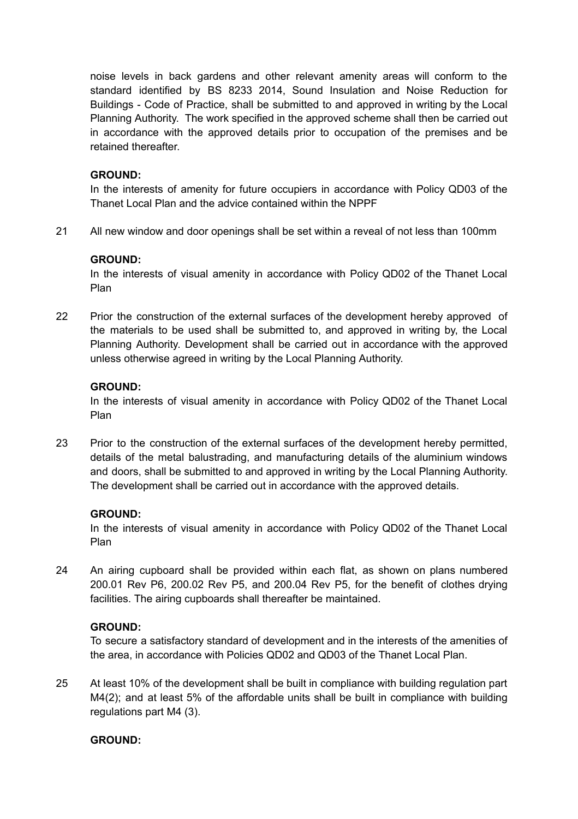noise levels in back gardens and other relevant amenity areas will conform to the standard identified by BS 8233 2014, Sound Insulation and Noise Reduction for Buildings - Code of Practice, shall be submitted to and approved in writing by the Local Planning Authority. The work specified in the approved scheme shall then be carried out in accordance with the approved details prior to occupation of the premises and be retained thereafter.

### **GROUND:**

In the interests of amenity for future occupiers in accordance with Policy QD03 of the Thanet Local Plan and the advice contained within the NPPF

21 All new window and door openings shall be set within a reveal of not less than 100mm

## **GROUND:**

In the interests of visual amenity in accordance with Policy QD02 of the Thanet Local Plan

22 Prior the construction of the external surfaces of the development hereby approved of the materials to be used shall be submitted to, and approved in writing by, the Local Planning Authority. Development shall be carried out in accordance with the approved unless otherwise agreed in writing by the Local Planning Authority.

## **GROUND:**

In the interests of visual amenity in accordance with Policy QD02 of the Thanet Local Plan

23 Prior to the construction of the external surfaces of the development hereby permitted, details of the metal balustrading, and manufacturing details of the aluminium windows and doors, shall be submitted to and approved in writing by the Local Planning Authority. The development shall be carried out in accordance with the approved details.

## **GROUND:**

In the interests of visual amenity in accordance with Policy QD02 of the Thanet Local Plan

24 An airing cupboard shall be provided within each flat, as shown on plans numbered 200.01 Rev P6, 200.02 Rev P5, and 200.04 Rev P5, for the benefit of clothes drying facilities. The airing cupboards shall thereafter be maintained.

## **GROUND:**

To secure a satisfactory standard of development and in the interests of the amenities of the area, in accordance with Policies QD02 and QD03 of the Thanet Local Plan.

25 At least 10% of the development shall be built in compliance with building regulation part M4(2); and at least 5% of the affordable units shall be built in compliance with building regulations part M4 (3).

## **GROUND:**